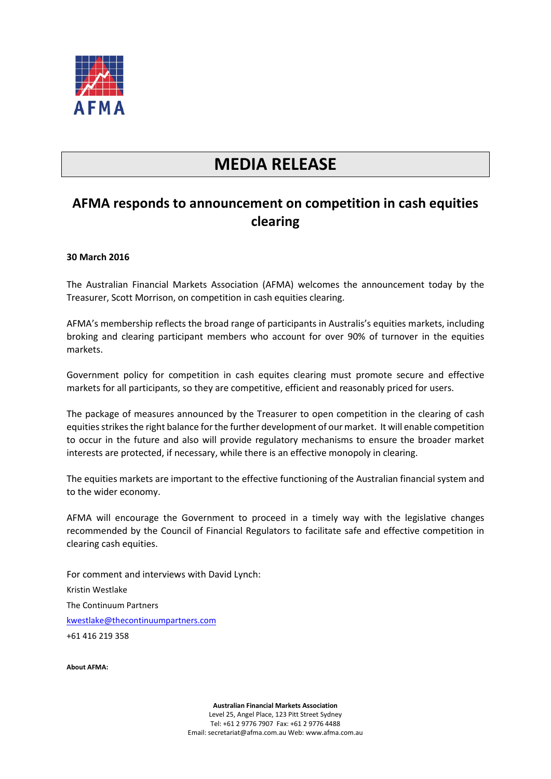

## **MEDIA RELEASE**

## **AFMA responds to announcement on competition in cash equities clearing**

## **30 March 2016**

The Australian Financial Markets Association (AFMA) welcomes the announcement today by the Treasurer, Scott Morrison, on competition in cash equities clearing.

AFMA's membership reflects the broad range of participants in Australis's equities markets, including broking and clearing participant members who account for over 90% of turnover in the equities markets.

Government policy for competition in cash equites clearing must promote secure and effective markets for all participants, so they are competitive, efficient and reasonably priced for users.

The package of measures announced by the Treasurer to open competition in the clearing of cash equities strikes the right balance for the further development of our market. It will enable competition to occur in the future and also will provide regulatory mechanisms to ensure the broader market interests are protected, if necessary, while there is an effective monopoly in clearing.

The equities markets are important to the effective functioning of the Australian financial system and to the wider economy.

AFMA will encourage the Government to proceed in a timely way with the legislative changes recommended by the Council of Financial Regulators to facilitate safe and effective competition in clearing cash equities.

For comment and interviews with David Lynch: Kristin Westlake The Continuum Partners [kwestlake@thecontinuumpartners.com](mailto:kwestlake@thecontinuumpartners.com) +61 416 219 358

**About AFMA:**